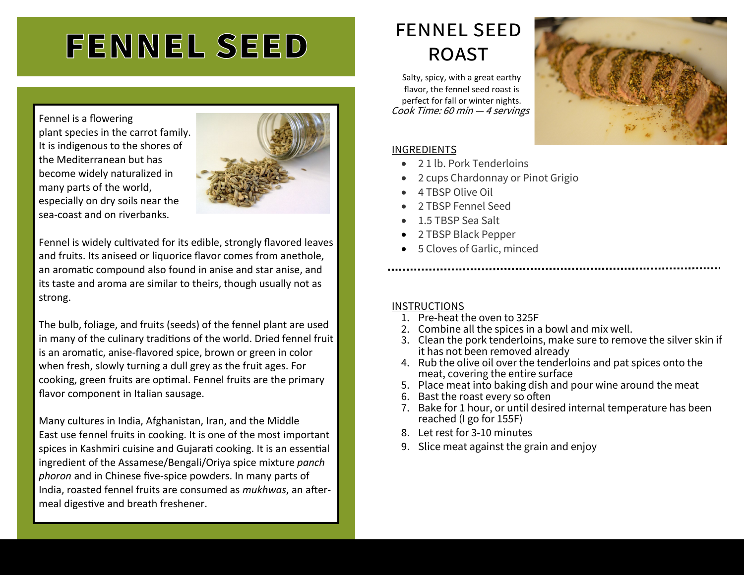# **FENNEL SEED**

Fennel is a flowering plant species in the carrot family. It is indigenous to the shores of the Mediterranean but has become widely naturalized in many parts of the world, especially on dry soils near the sea-coast and on riverbanks.



Fennel is widely cultivated for its edible, strongly flavored leaves and fruits. Its aniseed or liquorice flavor comes from anethole, an aromatic compound also found in anise and star anise, and its taste and aroma are similar to theirs, though usually not as strong.

The bulb, foliage, and fruits (seeds) of the fennel plant are used in many of the culinary traditions of the world. Dried fennel fruit is an aromatic, anise-flavored spice, brown or green in color when fresh, slowly turning a dull grey as the fruit ages. For cooking, green fruits are optimal. Fennel fruits are the primary flavor component in Italian sausage.

Many cultures in India, Afghanistan, Iran, and the Middle East use fennel fruits in cooking. It is one of the most important spices in Kashmiri cuisine and Gujarati cooking. It is an essential ingredient of the Assamese/Bengali/Oriya spice mixture *panch phoron* and in Chinese five-spice powders. In many parts of India, roasted fennel fruits are consumed as *mukhwas*, an aftermeal digestive and breath freshener.

# fennel seed roast

Cook Time: 60 min — <sup>4</sup>servings Salty, spicy, with a great earthy flavor, the fennel seed roast is perfect for fall or winter nights.

#### INGREDIENTS

- 2 1 lb. Pork Tenderloins
- 2 cups Chardonnay or Pinot Grigio
- 4 TBSP Olive Oil
- 2 TBSP Fennel Seed
- 1.5 TBSP Sea Salt
- 2 TBSP Black Pepper
- 5 Cloves of Garlic, minced

### **INSTRUCTIONS**

- 1. Pre-heat the oven to 325F
- 2. Combine all the spices in a bowl and mix well.
- 3. Clean the pork tenderloins, make sure to remove the silver skin if it has not been removed already
- 4. Rub the olive oil over the tenderloins and pat spices onto the meat, covering the entire surface
- 5. Place meat into baking dish and pour wine around the meat
- 6. Bast the roast every so often
- 7. Bake for 1 hour, or until desired internal temperature has been reached (I go for 155F)
- 8. Let rest for 3-10 minutes
- 9. Slice meat against the grain and enjoy